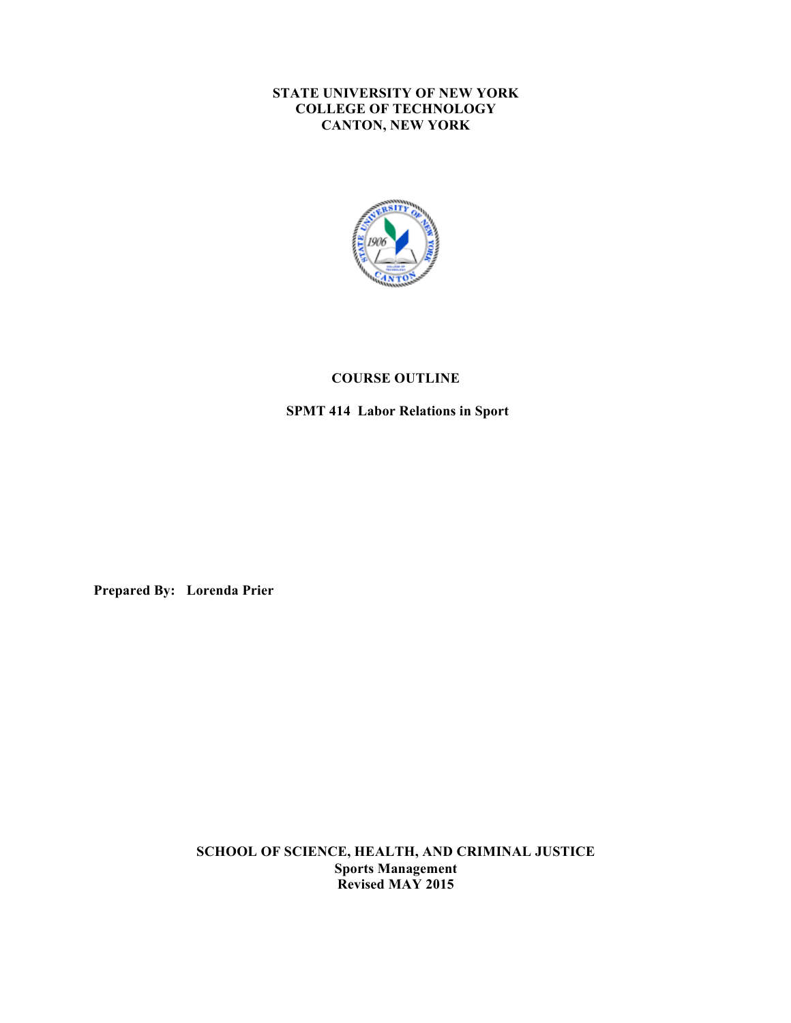#### **STATE UNIVERSITY OF NEW YORK COLLEGE OF TECHNOLOGY CANTON, NEW YORK**



# **COURSE OUTLINE**

 **SPMT 414 Labor Relations in Sport** 

**Prepared By: Lorenda Prier** 

 **SCHOOL OF SCIENCE, HEALTH, AND CRIMINAL JUSTICE Sports Management Revised MAY 2015**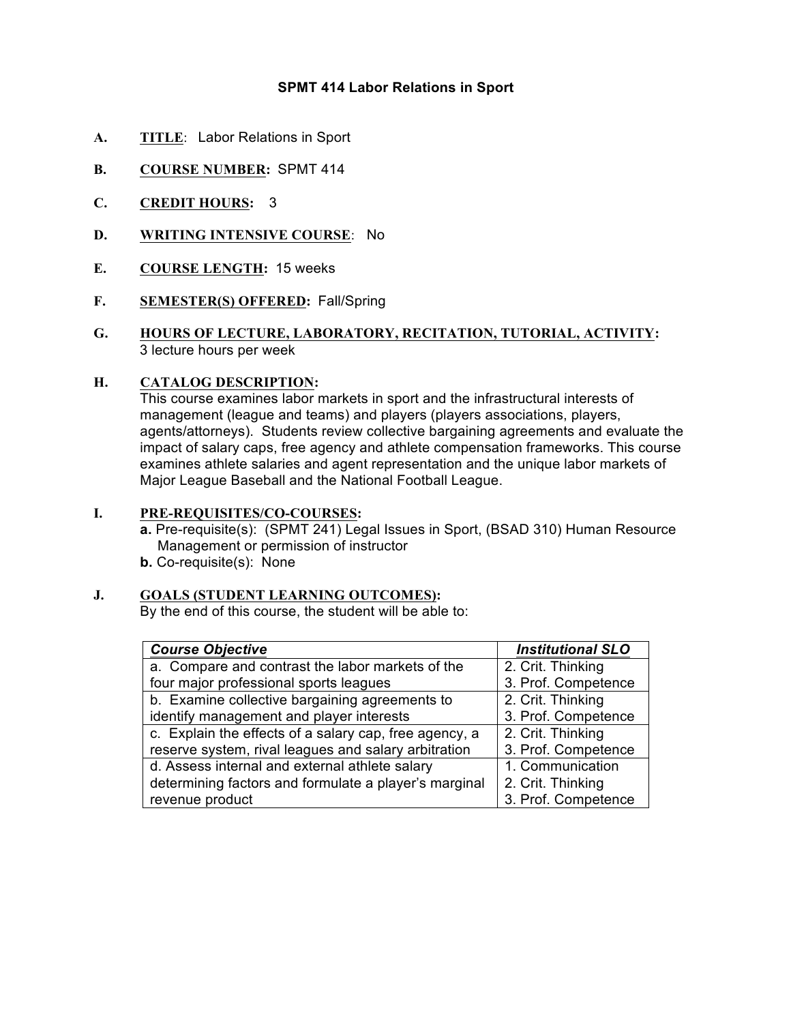# **SPMT 414 Labor Relations in Sport**

- **A. TITLE**: Labor Relations in Sport
- **B. COURSE NUMBER:** SPMT 414
- **C. CREDIT HOURS:** 3
- **D. WRITING INTENSIVE COURSE**: No
- **E. COURSE LENGTH:** 15 weeks
- **F. SEMESTER(S) OFFERED:** Fall/Spring
- **G. HOURS OF LECTURE, LABORATORY, RECITATION, TUTORIAL, ACTIVITY:**  3 lecture hours per week

#### **H. CATALOG DESCRIPTION:**

 This course examines labor markets in sport and the infrastructural interests of management (league and teams) and players (players associations, players, impact of salary caps, free agency and athlete compensation frameworks. This course examines athlete salaries and agent representation and the unique labor markets of Major League Baseball and the National Football League. agents/attorneys). Students review collective bargaining agreements and evaluate the

# **I. PRE-REQUISITES/CO-COURSES:**

 **a.** Pre-requisite(s): (SPMT 241) Legal Issues in Sport, (BSAD 310) Human Resource Management or permission of instructor **b.** Co-requisite(s): None

# **J. GOALS (STUDENT LEARNING OUTCOMES):**

By the end of this course, the student will be able to:

| <b>Course Objective</b>                                | <b>Institutional SLO</b> |
|--------------------------------------------------------|--------------------------|
| a. Compare and contrast the labor markets of the       | 2. Crit. Thinking        |
| four major professional sports leagues                 | 3. Prof. Competence      |
| b. Examine collective bargaining agreements to         | 2. Crit. Thinking        |
| identify management and player interests               | 3. Prof. Competence      |
| c. Explain the effects of a salary cap, free agency, a | 2. Crit. Thinking        |
| reserve system, rival leagues and salary arbitration   | 3. Prof. Competence      |
| d. Assess internal and external athlete salary         | 1. Communication         |
| determining factors and formulate a player's marginal  | 2. Crit. Thinking        |
| revenue product                                        | 3. Prof. Competence      |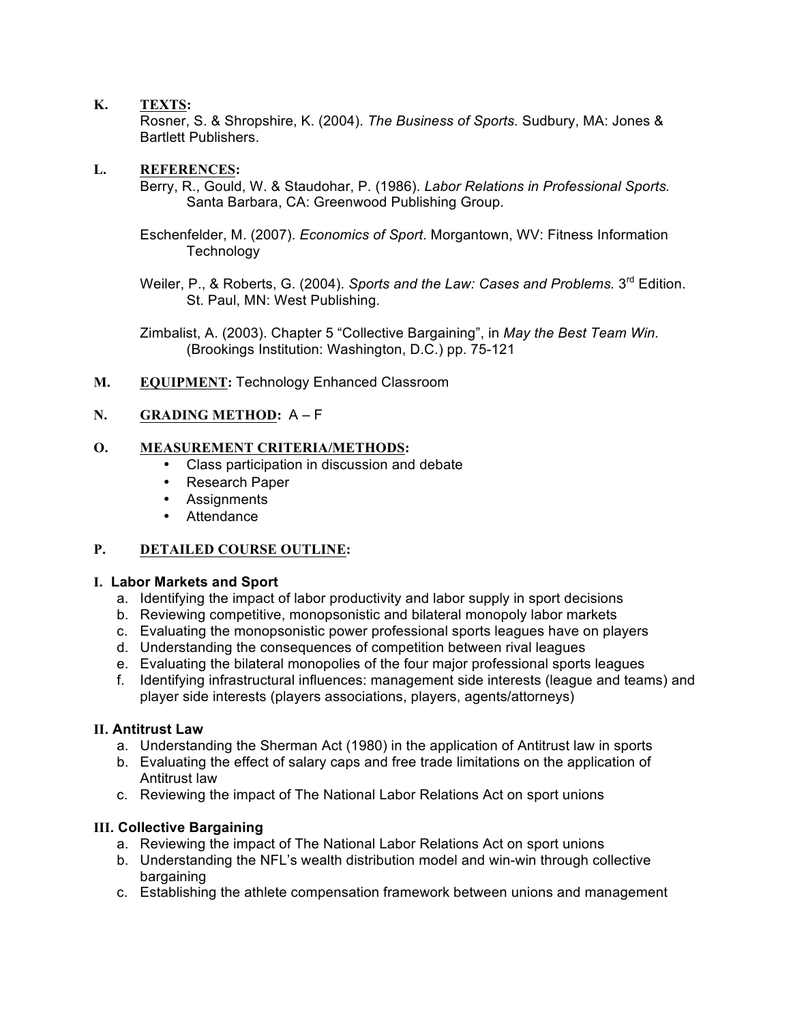# **K. TEXTS:**

 Rosner, S. & Shropshire, K. (2004). *The Business of Sports.* Sudbury, MA: Jones & Bartlett Publishers.

#### **L. REFERENCES:**

 Berry, R., Gould, W. & Staudohar, P. (1986). *Labor Relations in Professional Sports.*  Santa Barbara, CA: Greenwood Publishing Group.

 Eschenfelder, M. (2007). *Economics of Sport*. Morgantown, WV: Fitness Information **Technology** 

Weiler, P., & Roberts, G. (2004). *Sports and the Law: Cases and Problems.* 3<sup>rd</sup> Edition. St. Paul, MN: West Publishing.

 Zimbalist, A. (2003). Chapter 5 "Collective Bargaining", in *May the Best Team Win.*  (Brookings Institution: Washington, D.C.) pp. 75-121

 **M. EQUIPMENT:** Technology Enhanced Classroom

# **N. GRADING METHOD:** A – F

# **O. MEASUREMENT CRITERIA/METHODS:**

- • Class participation in discussion and debate
- Research Paper
- • Assignments
- Attendance

### **P. DETAILED COURSE OUTLINE:**

#### **I. Labor Markets and Sport**

- a. Identifying the impact of labor productivity and labor supply in sport decisions
- b. Reviewing competitive, monopsonistic and bilateral monopoly labor markets
- c. Evaluating the monopsonistic power professional sports leagues have on players
- d. Understanding the consequences of competition between rival leagues
- e. Evaluating the bilateral monopolies of the four major professional sports leagues
- f. Identifying infrastructural influences: management side interests (league and teams) and player side interests (players associations, players, agents/attorneys)

#### **II. Antitrust Law**

- a. Understanding the Sherman Act (1980) in the application of Antitrust law in sports
- b. Evaluating the effect of salary caps and free trade limitations on the application of Antitrust law
- c. Reviewing the impact of The National Labor Relations Act on sport unions

# **III. Collective Bargaining**

- a. Reviewing the impact of The National Labor Relations Act on sport unions
- b. Understanding the NFL's wealth distribution model and win-win through collective bargaining
- c. Establishing the athlete compensation framework between unions and management